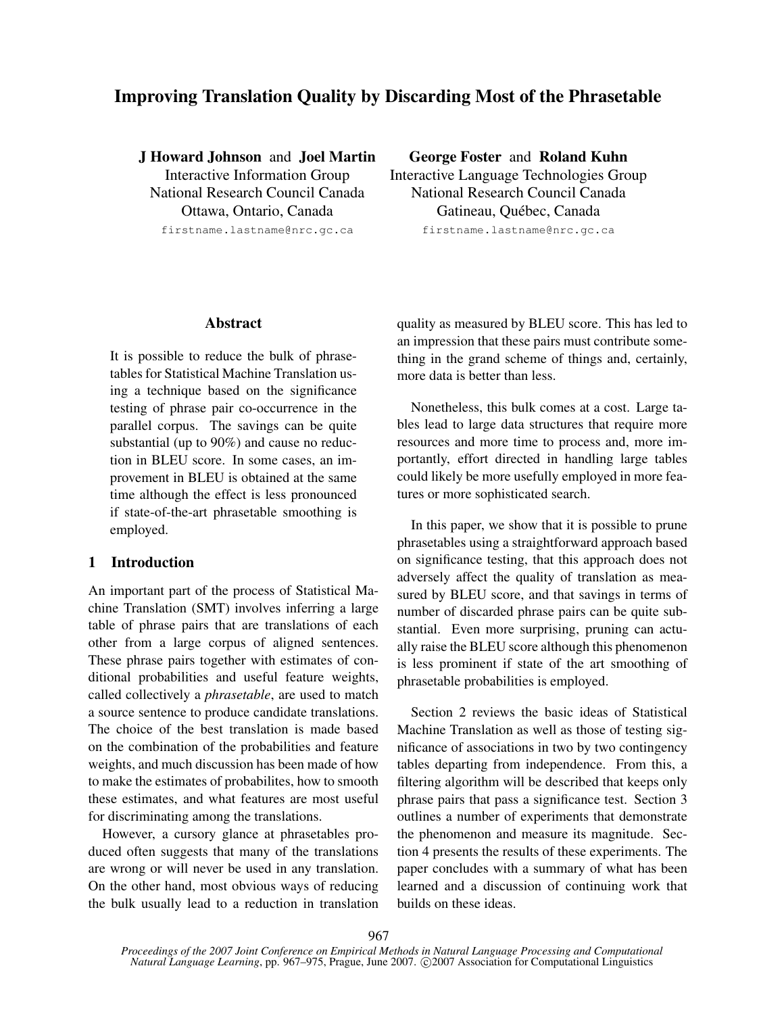# Improving Translation Quality by Discarding Most of the Phrasetable

J Howard Johnson and Joel Martin Interactive Information Group National Research Council Canada Ottawa, Ontario, Canada firstname.lastname@nrc.gc.ca

George Foster and Roland Kuhn

Interactive Language Technologies Group National Research Council Canada Gatineau, Québec, Canada firstname.lastname@nrc.gc.ca

#### Abstract

It is possible to reduce the bulk of phrasetables for Statistical Machine Translation using a technique based on the significance testing of phrase pair co-occurrence in the parallel corpus. The savings can be quite substantial (up to 90%) and cause no reduction in BLEU score. In some cases, an improvement in BLEU is obtained at the same time although the effect is less pronounced if state-of-the-art phrasetable smoothing is employed.

## 1 Introduction

An important part of the process of Statistical Machine Translation (SMT) involves inferring a large table of phrase pairs that are translations of each other from a large corpus of aligned sentences. These phrase pairs together with estimates of conditional probabilities and useful feature weights, called collectively a *phrasetable*, are used to match a source sentence to produce candidate translations. The choice of the best translation is made based on the combination of the probabilities and feature weights, and much discussion has been made of how to make the estimates of probabilites, how to smooth these estimates, and what features are most useful for discriminating among the translations.

However, a cursory glance at phrasetables produced often suggests that many of the translations are wrong or will never be used in any translation. On the other hand, most obvious ways of reducing the bulk usually lead to a reduction in translation quality as measured by BLEU score. This has led to an impression that these pairs must contribute something in the grand scheme of things and, certainly, more data is better than less.

Nonetheless, this bulk comes at a cost. Large tables lead to large data structures that require more resources and more time to process and, more importantly, effort directed in handling large tables could likely be more usefully employed in more features or more sophisticated search.

In this paper, we show that it is possible to prune phrasetables using a straightforward approach based on significance testing, that this approach does not adversely affect the quality of translation as measured by BLEU score, and that savings in terms of number of discarded phrase pairs can be quite substantial. Even more surprising, pruning can actually raise the BLEU score although this phenomenon is less prominent if state of the art smoothing of phrasetable probabilities is employed.

Section 2 reviews the basic ideas of Statistical Machine Translation as well as those of testing significance of associations in two by two contingency tables departing from independence. From this, a filtering algorithm will be described that keeps only phrase pairs that pass a significance test. Section 3 outlines a number of experiments that demonstrate the phenomenon and measure its magnitude. Section 4 presents the results of these experiments. The paper concludes with a summary of what has been learned and a discussion of continuing work that builds on these ideas.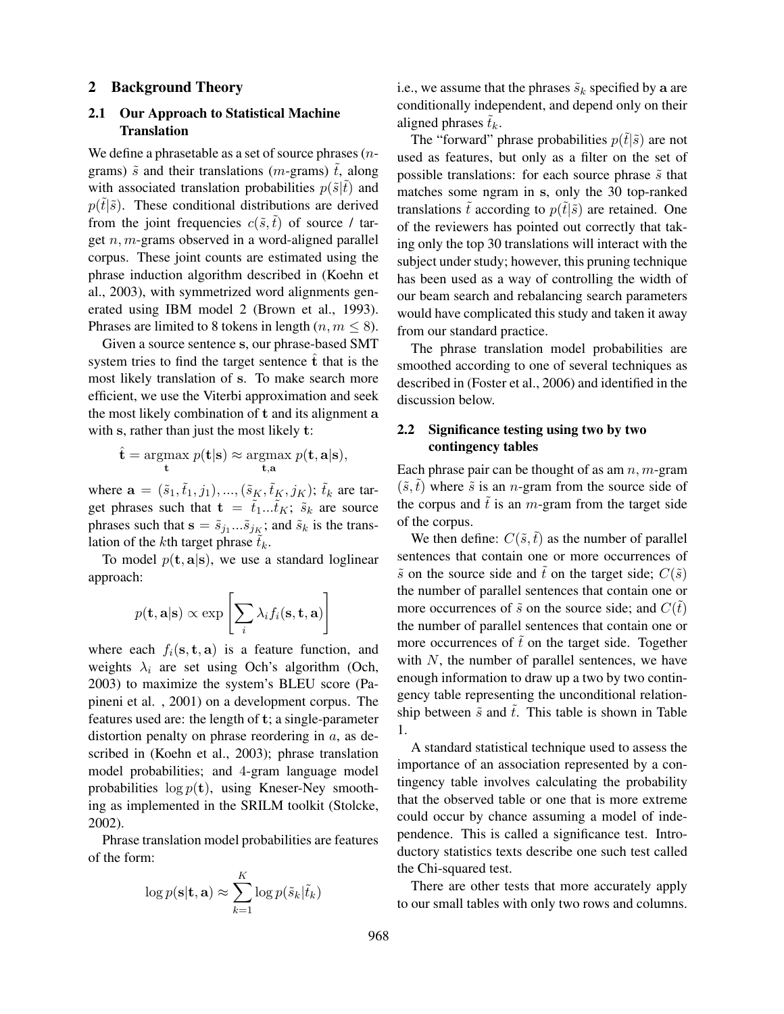#### 2 Background Theory

## 2.1 Our Approach to Statistical Machine **Translation**

We define a phrasetable as a set of source phrases  $(n$ grams)  $\tilde{s}$  and their translations (*m*-grams)  $\tilde{t}$ , along with associated translation probabilities  $p(\tilde{s}|\tilde{t})$  and  $p(\tilde{t}|\tilde{s})$ . These conditional distributions are derived from the joint frequencies  $c(\tilde{s}, \tilde{t})$  of source / target  $n, m$ -grams observed in a word-aligned parallel corpus. These joint counts are estimated using the phrase induction algorithm described in (Koehn et al., 2003), with symmetrized word alignments generated using IBM model 2 (Brown et al., 1993). Phrases are limited to 8 tokens in length  $(n, m \le 8)$ .

Given a source sentence s, our phrase-based SMT system tries to find the target sentence  $\hat{t}$  that is the most likely translation of s. To make search more efficient, we use the Viterbi approximation and seek the most likely combination of t and its alignment a with s, rather than just the most likely t:

$$
\hat{\mathbf{t}} = \operatorname*{argmax}_{\mathbf{t}} p(\mathbf{t}|\mathbf{s}) \approx \operatorname*{argmax}_{\mathbf{t}, \mathbf{a}} p(\mathbf{t}, \mathbf{a}|\mathbf{s}),
$$

where  $\mathbf{a} = (\tilde{s}_1, \tilde{t}_1, j_1), ..., (\tilde{s}_K, \tilde{t}_K, j_K)$ ;  $\tilde{t}_k$  are target phrases such that  $\mathbf{t} = \tilde{t}_1...\tilde{t}_K$ ;  $\tilde{s}_k$  are source phrases such that  $\mathbf{s} = \tilde{s}_{j_1} \dots \tilde{s}_{j_K}$ ; and  $\tilde{s}_k$  is the translation of the kth target phrase  $\tilde{t}_k$ .

To model  $p(\mathbf{t}, \mathbf{a} | \mathbf{s})$ , we use a standard loglinear approach:

$$
p(\mathbf{t}, \mathbf{a} | \mathbf{s}) \propto \exp \left[\sum_i \lambda_i f_i(\mathbf{s}, \mathbf{t}, \mathbf{a})\right]
$$

where each  $f_i(\mathbf{s}, \mathbf{t}, \mathbf{a})$  is a feature function, and weights  $\lambda_i$  are set using Och's algorithm (Och, 2003) to maximize the system's BLEU score (Papineni et al. , 2001) on a development corpus. The features used are: the length of t; a single-parameter distortion penalty on phrase reordering in  $a$ , as described in (Koehn et al., 2003); phrase translation model probabilities; and 4-gram language model probabilities  $\log p(\mathbf{t})$ , using Kneser-Ney smoothing as implemented in the SRILM toolkit (Stolcke, 2002).

Phrase translation model probabilities are features of the form:

$$
\log p(\mathbf{s}|\mathbf{t}, \mathbf{a}) \approx \sum_{k=1}^{K} \log p(\tilde{s}_k | \tilde{t}_k)
$$

i.e., we assume that the phrases  $\tilde{s}_k$  specified by a are conditionally independent, and depend only on their aligned phrases  $\tilde{t}_k$ .

The "forward" phrase probabilities  $p(\tilde{t}|\tilde{s})$  are not used as features, but only as a filter on the set of possible translations: for each source phrase  $\tilde{s}$  that matches some ngram in s, only the 30 top-ranked translations  $\tilde{t}$  according to  $p(\tilde{t}|\tilde{s})$  are retained. One of the reviewers has pointed out correctly that taking only the top 30 translations will interact with the subject under study; however, this pruning technique has been used as a way of controlling the width of our beam search and rebalancing search parameters would have complicated this study and taken it away from our standard practice.

The phrase translation model probabilities are smoothed according to one of several techniques as described in (Foster et al., 2006) and identified in the discussion below.

## 2.2 Significance testing using two by two contingency tables

Each phrase pair can be thought of as am  $n, m$ -gram  $(\tilde{s}, \tilde{t})$  where  $\tilde{s}$  is an *n*-gram from the source side of the corpus and  $\tilde{t}$  is an m-gram from the target side of the corpus.

We then define:  $C(\tilde{s}, \tilde{t})$  as the number of parallel sentences that contain one or more occurrences of  $\tilde{s}$  on the source side and  $\tilde{t}$  on the target side;  $C(\tilde{s})$ the number of parallel sentences that contain one or more occurrences of  $\tilde{s}$  on the source side; and  $C(\tilde{t})$ the number of parallel sentences that contain one or more occurrences of  $\tilde{t}$  on the target side. Together with  $N$ , the number of parallel sentences, we have enough information to draw up a two by two contingency table representing the unconditional relationship between  $\tilde{s}$  and  $\tilde{t}$ . This table is shown in Table 1.

A standard statistical technique used to assess the importance of an association represented by a contingency table involves calculating the probability that the observed table or one that is more extreme could occur by chance assuming a model of independence. This is called a significance test. Introductory statistics texts describe one such test called the Chi-squared test.

There are other tests that more accurately apply to our small tables with only two rows and columns.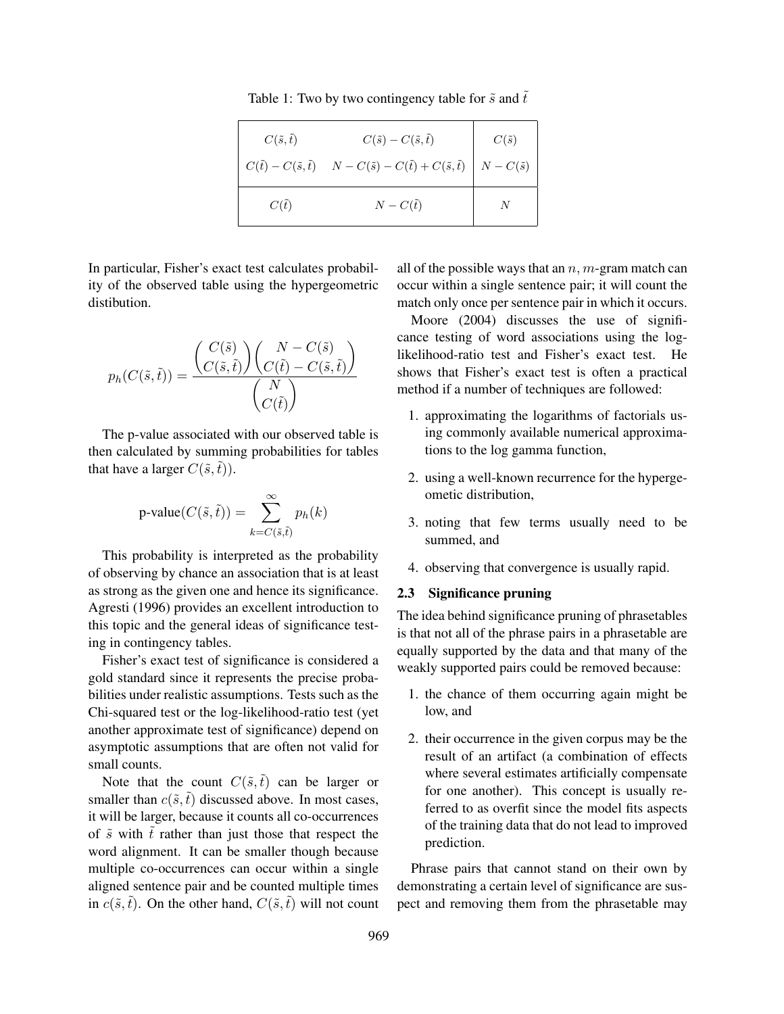Table 1: Two by two contingency table for  $\tilde{s}$  and  $\tilde{t}$ 

| $C(\tilde{s},\tilde{t})$ | $C(\tilde{s})-C(\tilde{s},\tilde{t})$                                                                                   | $C(\tilde{s})$ |
|--------------------------|-------------------------------------------------------------------------------------------------------------------------|----------------|
|                          | $C(\tilde{t}) - C(\tilde{s}, \tilde{t})$ $N - C(\tilde{s}) - C(\tilde{t}) + C(\tilde{s}, \tilde{t})$ $N - C(\tilde{s})$ |                |
| $C(\tilde{t})$           | $N - C(\tilde{t})$                                                                                                      |                |

In particular, Fisher's exact test calculates probability of the observed table using the hypergeometric distibution.

$$
p_h(C(\tilde{s},\tilde{t})) = \frac{\binom{C(\tilde{s})}{C(\tilde{s},\tilde{t})} \binom{N - C(\tilde{s})}{C(\tilde{t}) - C(\tilde{s},\tilde{t})}}{\binom{N}{C(\tilde{t})}}
$$

The p-value associated with our observed table is then calculated by summing probabilities for tables that have a larger  $C(\tilde{s},\tilde{t})$ ).

$$
\text{p-value}(C(\tilde{s},\tilde{t})) = \sum_{k=C(\tilde{s},\tilde{t})}^{\infty} p_h(k)
$$

This probability is interpreted as the probability of observing by chance an association that is at least as strong as the given one and hence its significance. Agresti (1996) provides an excellent introduction to this topic and the general ideas of significance testing in contingency tables.

Fisher's exact test of significance is considered a gold standard since it represents the precise probabilities under realistic assumptions. Tests such as the Chi-squared test or the log-likelihood-ratio test (yet another approximate test of significance) depend on asymptotic assumptions that are often not valid for small counts.

Note that the count  $C(\tilde{s},\tilde{t})$  can be larger or smaller than  $c(\tilde{s}, \tilde{t})$  discussed above. In most cases, it will be larger, because it counts all co-occurrences of  $\tilde{s}$  with  $\tilde{t}$  rather than just those that respect the word alignment. It can be smaller though because multiple co-occurrences can occur within a single aligned sentence pair and be counted multiple times in  $c(\tilde{s}, \tilde{t})$ . On the other hand,  $C(\tilde{s}, \tilde{t})$  will not count all of the possible ways that an  $n$ ,  $m$ -gram match can occur within a single sentence pair; it will count the match only once per sentence pair in which it occurs.

Moore (2004) discusses the use of significance testing of word associations using the loglikelihood-ratio test and Fisher's exact test. He shows that Fisher's exact test is often a practical method if a number of techniques are followed:

- 1. approximating the logarithms of factorials using commonly available numerical approximations to the log gamma function,
- 2. using a well-known recurrence for the hypergeometic distribution,
- 3. noting that few terms usually need to be summed, and
- 4. observing that convergence is usually rapid.

#### 2.3 Significance pruning

The idea behind significance pruning of phrasetables is that not all of the phrase pairs in a phrasetable are equally supported by the data and that many of the weakly supported pairs could be removed because:

- 1. the chance of them occurring again might be low, and
- 2. their occurrence in the given corpus may be the result of an artifact (a combination of effects where several estimates artificially compensate for one another). This concept is usually referred to as overfit since the model fits aspects of the training data that do not lead to improved prediction.

Phrase pairs that cannot stand on their own by demonstrating a certain level of significance are suspect and removing them from the phrasetable may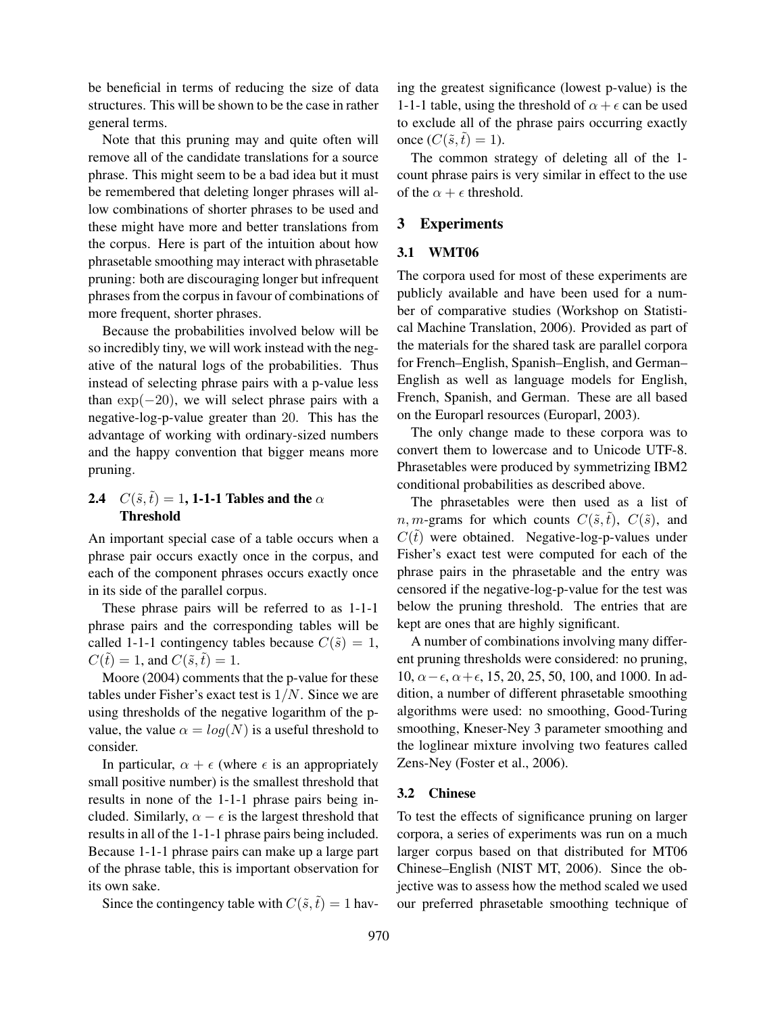be beneficial in terms of reducing the size of data structures. This will be shown to be the case in rather general terms.

Note that this pruning may and quite often will remove all of the candidate translations for a source phrase. This might seem to be a bad idea but it must be remembered that deleting longer phrases will allow combinations of shorter phrases to be used and these might have more and better translations from the corpus. Here is part of the intuition about how phrasetable smoothing may interact with phrasetable pruning: both are discouraging longer but infrequent phrases from the corpus in favour of combinations of more frequent, shorter phrases.

Because the probabilities involved below will be so incredibly tiny, we will work instead with the negative of the natural logs of the probabilities. Thus instead of selecting phrase pairs with a p-value less than  $\exp(-20)$ , we will select phrase pairs with a negative-log-p-value greater than 20. This has the advantage of working with ordinary-sized numbers and the happy convention that bigger means more pruning.

## 2.4  $C(\tilde{s},\tilde{t}) = 1$ , 1-1-1 Tables and the  $\alpha$ Threshold

An important special case of a table occurs when a phrase pair occurs exactly once in the corpus, and each of the component phrases occurs exactly once in its side of the parallel corpus.

These phrase pairs will be referred to as 1-1-1 phrase pairs and the corresponding tables will be called 1-1-1 contingency tables because  $C(\tilde{s}) = 1$ ,  $C(\tilde{t}) = 1$ , and  $C(\tilde{s}, \tilde{t}) = 1$ .

Moore (2004) comments that the p-value for these tables under Fisher's exact test is  $1/N$ . Since we are using thresholds of the negative logarithm of the pvalue, the value  $\alpha = log(N)$  is a useful threshold to consider.

In particular,  $\alpha + \epsilon$  (where  $\epsilon$  is an appropriately small positive number) is the smallest threshold that results in none of the 1-1-1 phrase pairs being included. Similarly,  $\alpha - \epsilon$  is the largest threshold that results in all of the 1-1-1 phrase pairs being included. Because 1-1-1 phrase pairs can make up a large part of the phrase table, this is important observation for its own sake.

Since the contingency table with  $C(\tilde{s},\tilde{t}) = 1$  hav-

ing the greatest significance (lowest p-value) is the 1-1-1 table, using the threshold of  $\alpha + \epsilon$  can be used to exclude all of the phrase pairs occurring exactly once  $(C(\tilde{s},\tilde{t}) = 1)$ .

The common strategy of deleting all of the 1 count phrase pairs is very similar in effect to the use of the  $\alpha + \epsilon$  threshold.

## 3 Experiments

#### 3.1 WMT06

The corpora used for most of these experiments are publicly available and have been used for a number of comparative studies (Workshop on Statistical Machine Translation, 2006). Provided as part of the materials for the shared task are parallel corpora for French–English, Spanish–English, and German– English as well as language models for English, French, Spanish, and German. These are all based on the Europarl resources (Europarl, 2003).

The only change made to these corpora was to convert them to lowercase and to Unicode UTF-8. Phrasetables were produced by symmetrizing IBM2 conditional probabilities as described above.

The phrasetables were then used as a list of *n*, *m*-grams for which counts  $C(\tilde{s}, \tilde{t})$ ,  $C(\tilde{s})$ , and  $C(\tilde{t})$  were obtained. Negative-log-p-values under Fisher's exact test were computed for each of the phrase pairs in the phrasetable and the entry was censored if the negative-log-p-value for the test was below the pruning threshold. The entries that are kept are ones that are highly significant.

A number of combinations involving many different pruning thresholds were considered: no pruning, 10,  $\alpha - \epsilon$ ,  $\alpha + \epsilon$ , 15, 20, 25, 50, 100, and 1000. In addition, a number of different phrasetable smoothing algorithms were used: no smoothing, Good-Turing smoothing, Kneser-Ney 3 parameter smoothing and the loglinear mixture involving two features called Zens-Ney (Foster et al., 2006).

#### 3.2 Chinese

To test the effects of significance pruning on larger corpora, a series of experiments was run on a much larger corpus based on that distributed for MT06 Chinese–English (NIST MT, 2006). Since the objective was to assess how the method scaled we used our preferred phrasetable smoothing technique of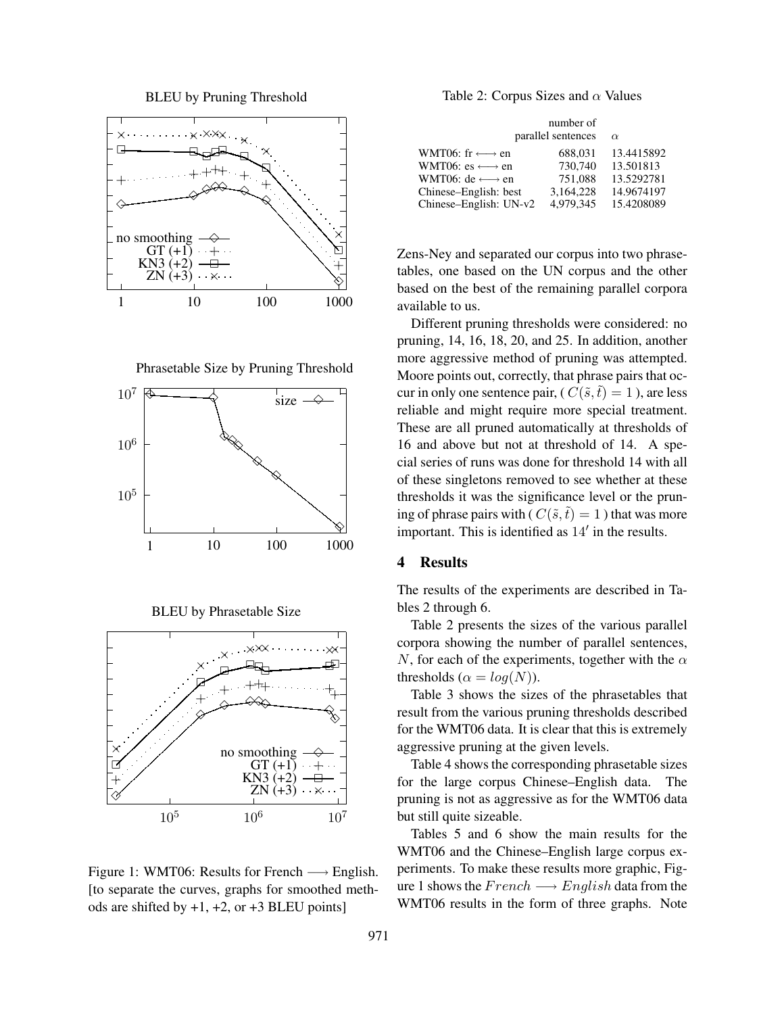BLEU by Pruning Threshold



Phrasetable Size by Pruning Threshold



BLEU by Phrasetable Size



Figure 1: WMT06: Results for French  $\longrightarrow$  English. [to separate the curves, graphs for smoothed methods are shifted by  $+1$ ,  $+2$ , or  $+3$  BLEU points]

Table 2: Corpus Sizes and  $\alpha$  Values

|                                    | number of<br>parallel sentences | $\alpha$   |
|------------------------------------|---------------------------------|------------|
| WMT06: fr $\longleftrightarrow$ en | 688.031                         | 13.4415892 |
| WMT06: es $\longleftrightarrow$ en | 730,740                         | 13.501813  |
| WMT06: de $\longleftrightarrow$ en | 751.088                         | 13.5292781 |
| Chinese–English: best              | 3,164,228                       | 14.9674197 |
| Chinese–English: UN-v2             | 4.979.345                       | 15.4208089 |

Zens-Ney and separated our corpus into two phrasetables, one based on the UN corpus and the other based on the best of the remaining parallel corpora available to us.

Different pruning thresholds were considered: no pruning, 14, 16, 18, 20, and 25. In addition, another more aggressive method of pruning was attempted. Moore points out, correctly, that phrase pairs that occur in only one sentence pair, (  $C(\tilde{s}, \tilde{t}) = 1$  ), are less reliable and might require more special treatment. These are all pruned automatically at thresholds of 16 and above but not at threshold of 14. A special series of runs was done for threshold 14 with all of these singletons removed to see whether at these thresholds it was the significance level or the pruning of phrase pairs with ( $C(\tilde{s},\tilde{t}) = 1$ ) that was more important. This is identified as  $14'$  in the results.

## 4 Results

The results of the experiments are described in Tables 2 through 6.

Table 2 presents the sizes of the various parallel corpora showing the number of parallel sentences, N, for each of the experiments, together with the  $\alpha$ thresholds ( $\alpha = \log(N)$ ).

Table 3 shows the sizes of the phrasetables that result from the various pruning thresholds described for the WMT06 data. It is clear that this is extremely aggressive pruning at the given levels.

Table 4 shows the corresponding phrasetable sizes for the large corpus Chinese–English data. The pruning is not as aggressive as for the WMT06 data but still quite sizeable.

Tables 5 and 6 show the main results for the WMT06 and the Chinese–English large corpus experiments. To make these results more graphic, Figure 1 shows the  $French \longrightarrow English$  data from the WMT06 results in the form of three graphs. Note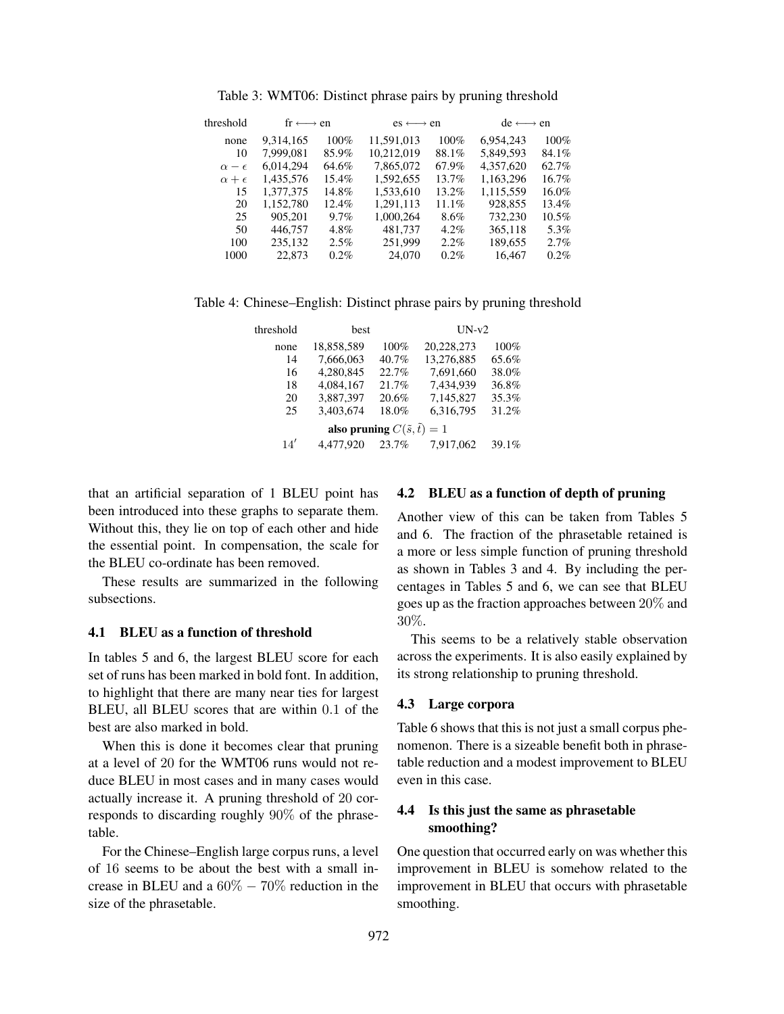| 6.954.243<br>100%<br>5,849,593<br>84.1% |
|-----------------------------------------|
|                                         |
|                                         |
| 4.357.620<br>62.7%                      |
| 1,163,296<br>16.7%                      |
| 1,115,559<br>16.0%                      |
| 928,855<br>13.4%                        |
| 732,230<br>$10.5\%$                     |
| 365,118<br>5.3%                         |
| 189,655<br>2.7%                         |
| 16.467<br>0.2%                          |
|                                         |

Table 3: WMT06: Distinct phrase pairs by pruning threshold

Table 4: Chinese–English: Distinct phrase pairs by pruning threshold

| threshold                                  | <b>best</b> |       | $UN-v2$    |       |  |  |
|--------------------------------------------|-------------|-------|------------|-------|--|--|
| none                                       | 18,858,589  | 100%  | 20,228,273 | 100%  |  |  |
| 14                                         | 7.666.063   | 40.7% | 13.276.885 | 65.6% |  |  |
| 16                                         | 4,280,845   | 22.7% | 7,691,660  | 38.0% |  |  |
| 18                                         | 4,084,167   | 21.7% | 7,434,939  | 36.8% |  |  |
| 20                                         | 3,887,397   | 20.6% | 7.145.827  | 35.3% |  |  |
| 25                                         | 3,403,674   | 18.0% | 6,316,795  | 31.2% |  |  |
| also pruning $C(\tilde{s}, \tilde{t}) = 1$ |             |       |            |       |  |  |
| 14'                                        | 4,477,920   | 23.7% | 7.917.062  | 39.1% |  |  |

that an artificial separation of 1 BLEU point has been introduced into these graphs to separate them. Without this, they lie on top of each other and hide the essential point. In compensation, the scale for the BLEU co-ordinate has been removed.

These results are summarized in the following subsections.

#### 4.1 BLEU as a function of threshold

In tables 5 and 6, the largest BLEU score for each set of runs has been marked in bold font. In addition, to highlight that there are many near ties for largest BLEU, all BLEU scores that are within 0.1 of the best are also marked in bold.

When this is done it becomes clear that pruning at a level of 20 for the WMT06 runs would not reduce BLEU in most cases and in many cases would actually increase it. A pruning threshold of 20 corresponds to discarding roughly 90% of the phrasetable.

For the Chinese–English large corpus runs, a level of 16 seems to be about the best with a small increase in BLEU and a  $60\% - 70\%$  reduction in the size of the phrasetable.

#### 4.2 BLEU as a function of depth of pruning

Another view of this can be taken from Tables 5 and 6. The fraction of the phrasetable retained is a more or less simple function of pruning threshold as shown in Tables 3 and 4. By including the percentages in Tables 5 and 6, we can see that BLEU goes up as the fraction approaches between 20% and 30%.

This seems to be a relatively stable observation across the experiments. It is also easily explained by its strong relationship to pruning threshold.

## 4.3 Large corpora

Table 6 shows that this is not just a small corpus phenomenon. There is a sizeable benefit both in phrasetable reduction and a modest improvement to BLEU even in this case.

## 4.4 Is this just the same as phrasetable smoothing?

One question that occurred early on was whether this improvement in BLEU is somehow related to the improvement in BLEU that occurs with phrasetable smoothing.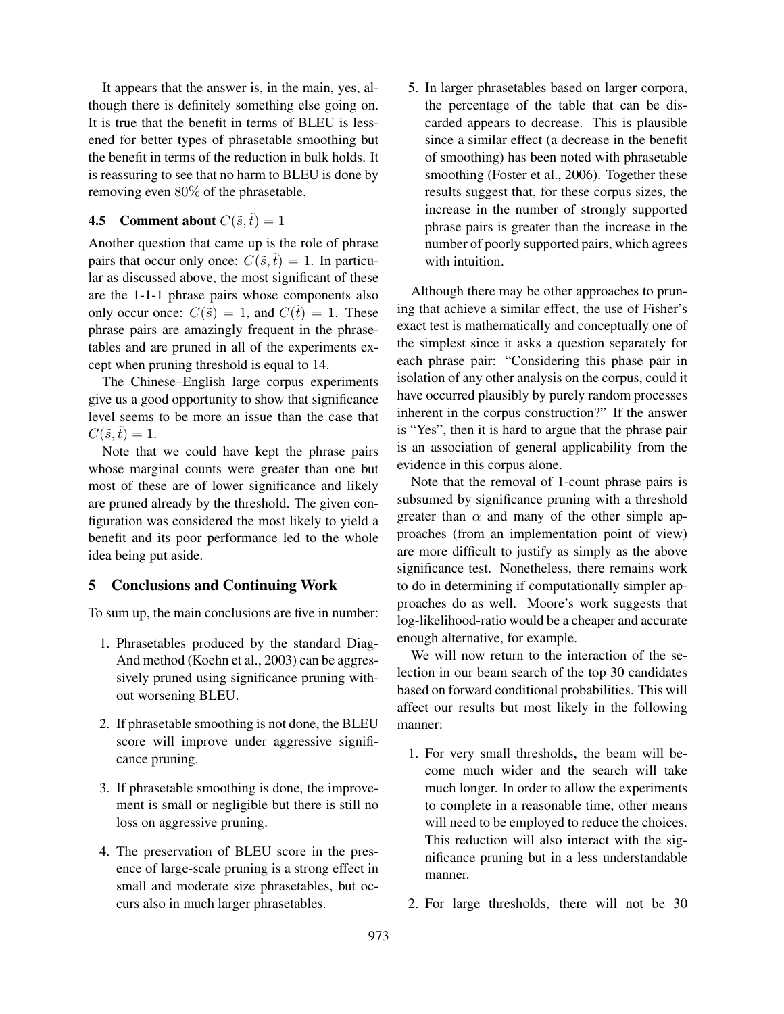It appears that the answer is, in the main, yes, although there is definitely something else going on. It is true that the benefit in terms of BLEU is lessened for better types of phrasetable smoothing but the benefit in terms of the reduction in bulk holds. It is reassuring to see that no harm to BLEU is done by removing even 80% of the phrasetable.

## **4.5** Comment about  $C(\tilde{s},\tilde{t}) = 1$

Another question that came up is the role of phrase pairs that occur only once:  $C(\tilde{s}, \tilde{t}) = 1$ . In particular as discussed above, the most significant of these are the 1-1-1 phrase pairs whose components also only occur once:  $C(\tilde{s}) = 1$ , and  $C(\tilde{t}) = 1$ . These phrase pairs are amazingly frequent in the phrasetables and are pruned in all of the experiments except when pruning threshold is equal to 14.

The Chinese–English large corpus experiments give us a good opportunity to show that significance level seems to be more an issue than the case that  $C(\tilde{s},\tilde{t})=1.$ 

Note that we could have kept the phrase pairs whose marginal counts were greater than one but most of these are of lower significance and likely are pruned already by the threshold. The given configuration was considered the most likely to yield a benefit and its poor performance led to the whole idea being put aside.

## 5 Conclusions and Continuing Work

To sum up, the main conclusions are five in number:

- 1. Phrasetables produced by the standard Diag-And method (Koehn et al., 2003) can be aggressively pruned using significance pruning without worsening BLEU.
- 2. If phrasetable smoothing is not done, the BLEU score will improve under aggressive significance pruning.
- 3. If phrasetable smoothing is done, the improvement is small or negligible but there is still no loss on aggressive pruning.
- 4. The preservation of BLEU score in the presence of large-scale pruning is a strong effect in small and moderate size phrasetables, but occurs also in much larger phrasetables.

5. In larger phrasetables based on larger corpora, the percentage of the table that can be discarded appears to decrease. This is plausible since a similar effect (a decrease in the benefit of smoothing) has been noted with phrasetable smoothing (Foster et al., 2006). Together these results suggest that, for these corpus sizes, the increase in the number of strongly supported phrase pairs is greater than the increase in the number of poorly supported pairs, which agrees with intuition.

Although there may be other approaches to pruning that achieve a similar effect, the use of Fisher's exact test is mathematically and conceptually one of the simplest since it asks a question separately for each phrase pair: "Considering this phase pair in isolation of any other analysis on the corpus, could it have occurred plausibly by purely random processes inherent in the corpus construction?" If the answer is "Yes", then it is hard to argue that the phrase pair is an association of general applicability from the evidence in this corpus alone.

Note that the removal of 1-count phrase pairs is subsumed by significance pruning with a threshold greater than  $\alpha$  and many of the other simple approaches (from an implementation point of view) are more difficult to justify as simply as the above significance test. Nonetheless, there remains work to do in determining if computationally simpler approaches do as well. Moore's work suggests that log-likelihood-ratio would be a cheaper and accurate enough alternative, for example.

We will now return to the interaction of the selection in our beam search of the top 30 candidates based on forward conditional probabilities. This will affect our results but most likely in the following manner:

- 1. For very small thresholds, the beam will become much wider and the search will take much longer. In order to allow the experiments to complete in a reasonable time, other means will need to be employed to reduce the choices. This reduction will also interact with the significance pruning but in a less understandable manner.
- 2. For large thresholds, there will not be 30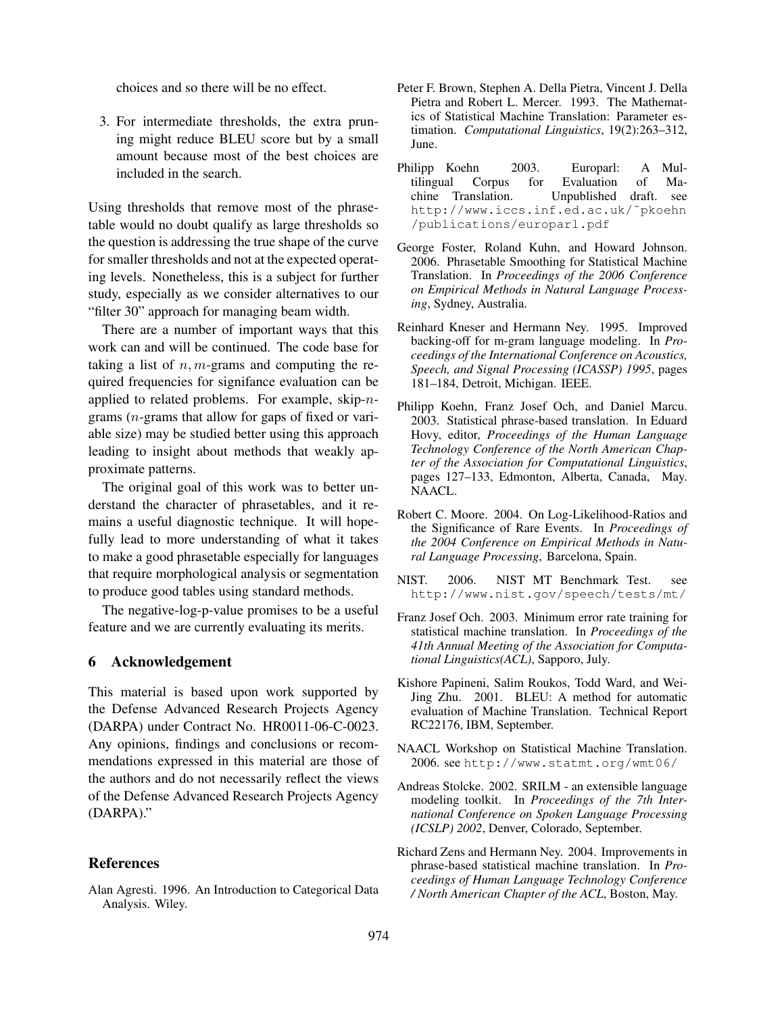choices and so there will be no effect.

3. For intermediate thresholds, the extra pruning might reduce BLEU score but by a small amount because most of the best choices are included in the search.

Using thresholds that remove most of the phrasetable would no doubt qualify as large thresholds so the question is addressing the true shape of the curve for smaller thresholds and not at the expected operating levels. Nonetheless, this is a subject for further study, especially as we consider alternatives to our "filter 30" approach for managing beam width.

There are a number of important ways that this work can and will be continued. The code base for taking a list of  $n, m$ -grams and computing the required frequencies for signifance evaluation can be applied to related problems. For example, skip-ngrams (n-grams that allow for gaps of fixed or variable size) may be studied better using this approach leading to insight about methods that weakly approximate patterns.

The original goal of this work was to better understand the character of phrasetables, and it remains a useful diagnostic technique. It will hopefully lead to more understanding of what it takes to make a good phrasetable especially for languages that require morphological analysis or segmentation to produce good tables using standard methods.

The negative-log-p-value promises to be a useful feature and we are currently evaluating its merits.

#### 6 Acknowledgement

This material is based upon work supported by the Defense Advanced Research Projects Agency (DARPA) under Contract No. HR0011-06-C-0023. Any opinions, findings and conclusions or recommendations expressed in this material are those of the authors and do not necessarily reflect the views of the Defense Advanced Research Projects Agency (DARPA)."

#### **References**

Alan Agresti. 1996. An Introduction to Categorical Data Analysis. Wiley.

- Peter F. Brown, Stephen A. Della Pietra, Vincent J. Della Pietra and Robert L. Mercer. 1993. The Mathematics of Statistical Machine Translation: Parameter estimation. *Computational Linguistics*, 19(2):263–312, June.
- Philipp Koehn 2003. Europarl: A Multilingual Corpus for Evaluation of Machine Translation. Unpublished draft. see http://www.iccs.inf.ed.ac.uk/˜pkoehn /publications/europarl.pdf
- George Foster, Roland Kuhn, and Howard Johnson. 2006. Phrasetable Smoothing for Statistical Machine Translation. In *Proceedings of the 2006 Conference on Empirical Methods in Natural Language Processing*, Sydney, Australia.
- Reinhard Kneser and Hermann Ney. 1995. Improved backing-off for m-gram language modeling. In *Proceedings of the International Conference on Acoustics, Speech, and Signal Processing (ICASSP) 1995*, pages 181–184, Detroit, Michigan. IEEE.
- Philipp Koehn, Franz Josef Och, and Daniel Marcu. 2003. Statistical phrase-based translation. In Eduard Hovy, editor, *Proceedings of the Human Language Technology Conference of the North American Chapter of the Association for Computational Linguistics*, pages 127–133, Edmonton, Alberta, Canada, May. NAACL.
- Robert C. Moore. 2004. On Log-Likelihood-Ratios and the Significance of Rare Events. In *Proceedings of the 2004 Conference on Empirical Methods in Natural Language Processing*, Barcelona, Spain.
- NIST. 2006. NIST MT Benchmark Test. see http://www.nist.gov/speech/tests/mt/
- Franz Josef Och. 2003. Minimum error rate training for statistical machine translation. In *Proceedings of the 41th Annual Meeting of the Association for Computational Linguistics(ACL)*, Sapporo, July.
- Kishore Papineni, Salim Roukos, Todd Ward, and Wei-Jing Zhu. 2001. BLEU: A method for automatic evaluation of Machine Translation. Technical Report RC22176, IBM, September.
- NAACL Workshop on Statistical Machine Translation. 2006. see http://www.statmt.org/wmt06/
- Andreas Stolcke. 2002. SRILM an extensible language modeling toolkit. In *Proceedings of the 7th International Conference on Spoken Language Processing (ICSLP) 2002*, Denver, Colorado, September.
- Richard Zens and Hermann Ney. 2004. Improvements in phrase-based statistical machine translation. In *Proceedings of Human Language Technology Conference / North American Chapter of the ACL*, Boston, May.